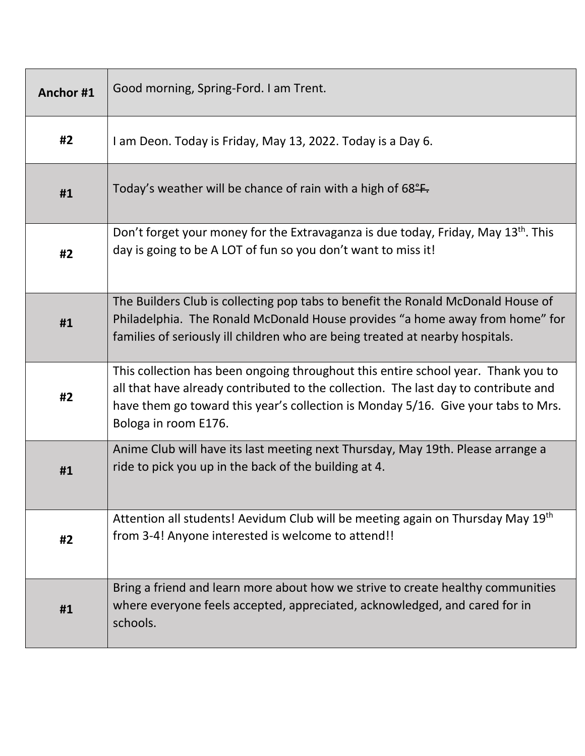| Anchor#1 | Good morning, Spring-Ford. I am Trent.                                                                                                                                                                                                                                                |
|----------|---------------------------------------------------------------------------------------------------------------------------------------------------------------------------------------------------------------------------------------------------------------------------------------|
| #2       | I am Deon. Today is Friday, May 13, 2022. Today is a Day 6.                                                                                                                                                                                                                           |
| #1       | Today's weather will be chance of rain with a high of $68^{\circ}$ .                                                                                                                                                                                                                  |
| #2       | Don't forget your money for the Extravaganza is due today, Friday, May 13 <sup>th</sup> . This<br>day is going to be A LOT of fun so you don't want to miss it!                                                                                                                       |
| #1       | The Builders Club is collecting pop tabs to benefit the Ronald McDonald House of<br>Philadelphia. The Ronald McDonald House provides "a home away from home" for<br>families of seriously ill children who are being treated at nearby hospitals.                                     |
| #2       | This collection has been ongoing throughout this entire school year. Thank you to<br>all that have already contributed to the collection. The last day to contribute and<br>have them go toward this year's collection is Monday 5/16. Give your tabs to Mrs.<br>Bologa in room E176. |
| #1       | Anime Club will have its last meeting next Thursday, May 19th. Please arrange a<br>ride to pick you up in the back of the building at 4.                                                                                                                                              |
| #2       | Attention all students! Aevidum Club will be meeting again on Thursday May 19th<br>from 3-4! Anyone interested is welcome to attend!!                                                                                                                                                 |
| #1       | Bring a friend and learn more about how we strive to create healthy communities<br>where everyone feels accepted, appreciated, acknowledged, and cared for in<br>schools.                                                                                                             |